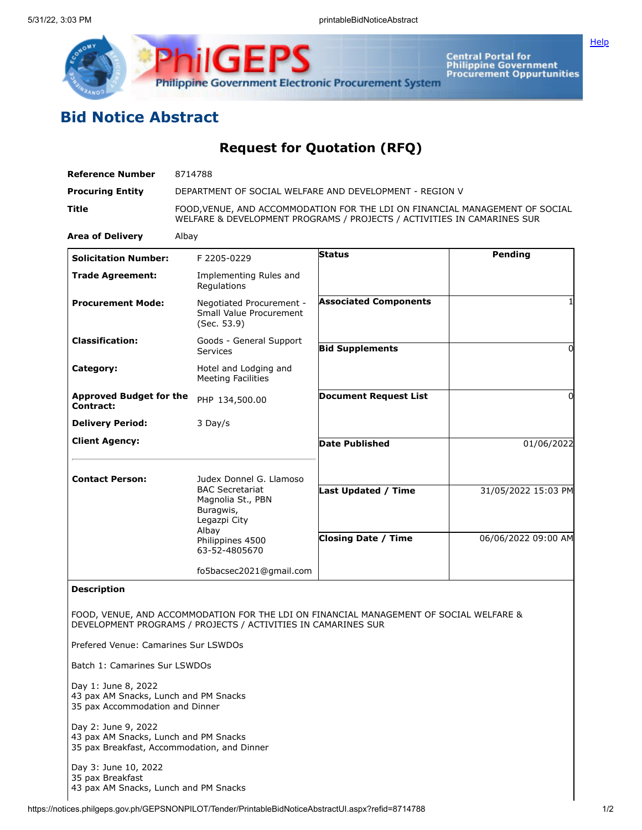



Central Portal for<br>Philippine Government<br>Procurement Oppurtunities

## **Bid Notice Abstract**

**Request for Quotation (RFQ)**

| <b>Reference Number</b>                     | 8714788                                                                                                                                                 |                              |                         |
|---------------------------------------------|---------------------------------------------------------------------------------------------------------------------------------------------------------|------------------------------|-------------------------|
| <b>Procuring Entity</b>                     | DEPARTMENT OF SOCIAL WELFARE AND DEVELOPMENT - REGION V                                                                                                 |                              |                         |
| Title                                       | FOOD, VENUE, AND ACCOMMODATION FOR THE LDI ON FINANCIAL MANAGEMENT OF SOCIAL<br>WELFARE & DEVELOPMENT PROGRAMS / PROJECTS / ACTIVITIES IN CAMARINES SUR |                              |                         |
| <b>Area of Delivery</b>                     | Albay                                                                                                                                                   |                              |                         |
| <b>Solicitation Number:</b>                 | F 2205-0229                                                                                                                                             | <b>Status</b>                | Pending                 |
| <b>Trade Agreement:</b>                     | Implementing Rules and<br>Regulations                                                                                                                   |                              |                         |
| <b>Procurement Mode:</b>                    | Negotiated Procurement -<br>Small Value Procurement<br>(Sec. 53.9)                                                                                      | <b>Associated Components</b> | 1                       |
| <b>Classification:</b>                      | Goods - General Support<br>Services                                                                                                                     | <b>Bid Supplements</b>       | 0                       |
| Category:                                   | Hotel and Lodging and<br><b>Meeting Facilities</b>                                                                                                      |                              |                         |
| <b>Approved Budget for the</b><br>Contract: | PHP 134,500.00                                                                                                                                          | <b>Document Request List</b> | 0                       |
| <b>Delivery Period:</b>                     | 3 Day/s                                                                                                                                                 |                              |                         |
| <b>Client Agency:</b>                       |                                                                                                                                                         | <b>Date Published</b>        | $\frac{0}{0}$ 1/06/2022 |
| <b>Contact Person:</b>                      | Judex Donnel G. Llamoso<br><b>BAC Secretariat</b><br>Magnolia St., PBN<br>Buragwis,<br>Legazpi City                                                     |                              |                         |
|                                             |                                                                                                                                                         | Last Updated / Time          | 31/05/2022 15:03 PM     |
|                                             | Albay<br>Philippines 4500<br>63-52-4805670                                                                                                              | <b>Closing Date / Time</b>   | 06/06/2022 09:00 AM     |
|                                             | fo5bacsec2021@gmail.com                                                                                                                                 |                              |                         |
| <b>Description</b>                          |                                                                                                                                                         |                              |                         |
|                                             | FOOD, VENUE, AND ACCOMMODATION FOR THE LDI ON FINANCIAL MANAGEMENT OF SOCIAL WELFARE &<br>DEVELOPMENT PROGRAMS / PROJECTS / ACTIVITIES IN CAMARINES SUR |                              |                         |
| Prefered Venue: Camarines Sur LSWDOs        |                                                                                                                                                         |                              |                         |
| Batch 1: Camarines Sur LSWDOs               |                                                                                                                                                         |                              |                         |

Day 1: June 8, 2022 43 pax AM Snacks, Lunch and PM Snacks 35 pax Accommodation and Dinner

Day 2: June 9, 2022 43 pax AM Snacks, Lunch and PM Snacks 35 pax Breakfast, Accommodation, and Dinner

Day 3: June 10, 2022 35 pax Breakfast 43 pax AM Snacks, Lunch and PM Snacks